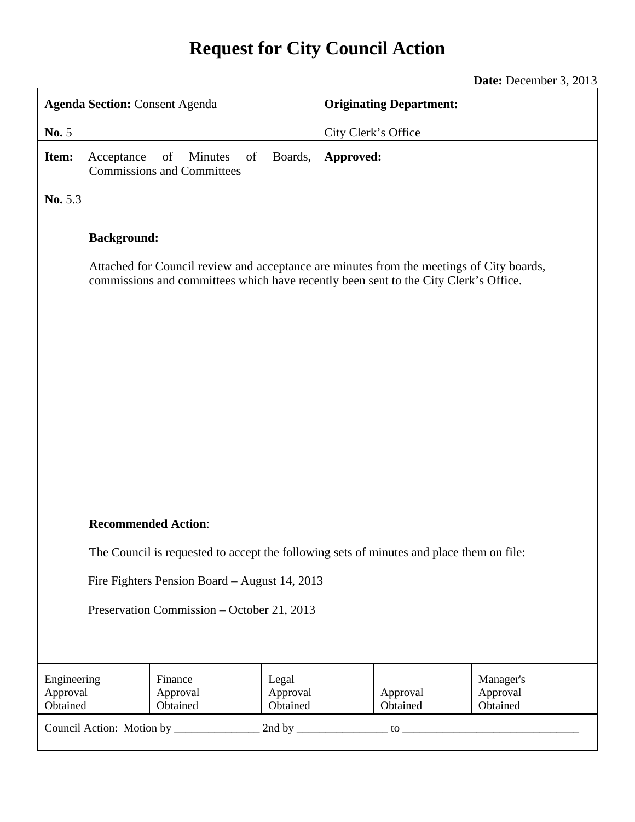# **Request for City Council Action**

**Date:** December 3, 2013

| <b>Agenda Section: Consent Agenda</b>                                                                                                                                                                  |                                                          | <b>Originating Department:</b> |           |                      |                                   |
|--------------------------------------------------------------------------------------------------------------------------------------------------------------------------------------------------------|----------------------------------------------------------|--------------------------------|-----------|----------------------|-----------------------------------|
| No. 5                                                                                                                                                                                                  |                                                          | City Clerk's Office            |           |                      |                                   |
| Item:<br>Acceptance                                                                                                                                                                                    | Minutes<br>of<br>of<br><b>Commissions and Committees</b> | Boards,                        | Approved: |                      |                                   |
| No. 5.3                                                                                                                                                                                                |                                                          |                                |           |                      |                                   |
| <b>Background:</b><br>Attached for Council review and acceptance are minutes from the meetings of City boards,<br>commissions and committees which have recently been sent to the City Clerk's Office. |                                                          |                                |           |                      |                                   |
|                                                                                                                                                                                                        |                                                          |                                |           |                      |                                   |
|                                                                                                                                                                                                        |                                                          |                                |           |                      |                                   |
|                                                                                                                                                                                                        |                                                          |                                |           |                      |                                   |
|                                                                                                                                                                                                        |                                                          |                                |           |                      |                                   |
| <b>Recommended Action:</b>                                                                                                                                                                             |                                                          |                                |           |                      |                                   |
| The Council is requested to accept the following sets of minutes and place them on file:                                                                                                               |                                                          |                                |           |                      |                                   |
| Fire Fighters Pension Board - August 14, 2013                                                                                                                                                          |                                                          |                                |           |                      |                                   |
| Preservation Commission - October 21, 2013                                                                                                                                                             |                                                          |                                |           |                      |                                   |
|                                                                                                                                                                                                        |                                                          |                                |           |                      |                                   |
|                                                                                                                                                                                                        |                                                          |                                |           |                      |                                   |
| Engineering<br>Approval<br>Obtained                                                                                                                                                                    | Finance<br>Approval<br>Obtained                          | Legal<br>Approval<br>Obtained  |           | Approval<br>Obtained | Manager's<br>Approval<br>Obtained |
| Council Action: Motion by                                                                                                                                                                              |                                                          | 2nd by $_{-}$                  |           | $\mathsf{to}\,$      |                                   |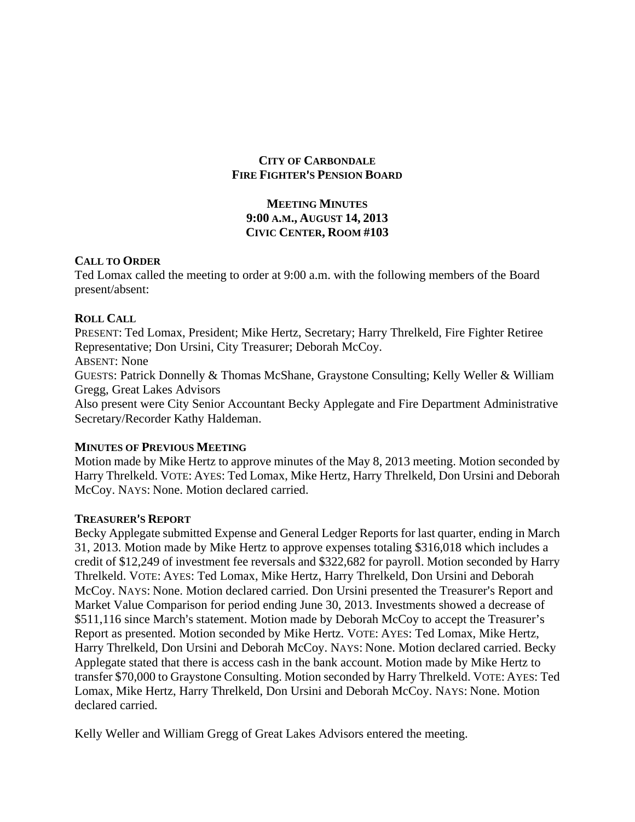## **CITY OF CARBONDALE FIRE FIGHTER'S PENSION BOARD**

# **MEETING MINUTES 9:00 A.M., AUGUST 14, 2013 CIVIC CENTER, ROOM #103**

#### **CALL TO ORDER**

Ted Lomax called the meeting to order at 9:00 a.m. with the following members of the Board present/absent:

#### **ROLL CALL**

PRESENT: Ted Lomax, President; Mike Hertz, Secretary; Harry Threlkeld, Fire Fighter Retiree Representative; Don Ursini, City Treasurer; Deborah McCoy. ABSENT: None GUESTS: Patrick Donnelly & Thomas McShane, Graystone Consulting; Kelly Weller & William Gregg, Great Lakes Advisors Also present were City Senior Accountant Becky Applegate and Fire Department Administrative Secretary/Recorder Kathy Haldeman.

### **MINUTES OF PREVIOUS MEETING**

Motion made by Mike Hertz to approve minutes of the May 8, 2013 meeting. Motion seconded by Harry Threlkeld. VOTE: AYES: Ted Lomax, Mike Hertz, Harry Threlkeld, Don Ursini and Deborah McCoy. NAYS: None. Motion declared carried.

### **TREASURER**=**S REPORT**

Becky Applegate submitted Expense and General Ledger Reports for last quarter, ending in March 31, 2013. Motion made by Mike Hertz to approve expenses totaling \$316,018 which includes a credit of \$12,249 of investment fee reversals and \$322,682 for payroll. Motion seconded by Harry Threlkeld. VOTE: AYES: Ted Lomax, Mike Hertz, Harry Threlkeld, Don Ursini and Deborah McCoy. NAYS: None. Motion declared carried. Don Ursini presented the Treasurer's Report and Market Value Comparison for period ending June 30, 2013. Investments showed a decrease of \$511,116 since March's statement. Motion made by Deborah McCoy to accept the Treasurer's Report as presented. Motion seconded by Mike Hertz. VOTE: AYES: Ted Lomax, Mike Hertz, Harry Threlkeld, Don Ursini and Deborah McCoy. NAYS: None. Motion declared carried. Becky Applegate stated that there is access cash in the bank account. Motion made by Mike Hertz to transfer \$70,000 to Graystone Consulting. Motion seconded by Harry Threlkeld. VOTE: AYES: Ted Lomax, Mike Hertz, Harry Threlkeld, Don Ursini and Deborah McCoy. NAYS: None. Motion declared carried.

Kelly Weller and William Gregg of Great Lakes Advisors entered the meeting.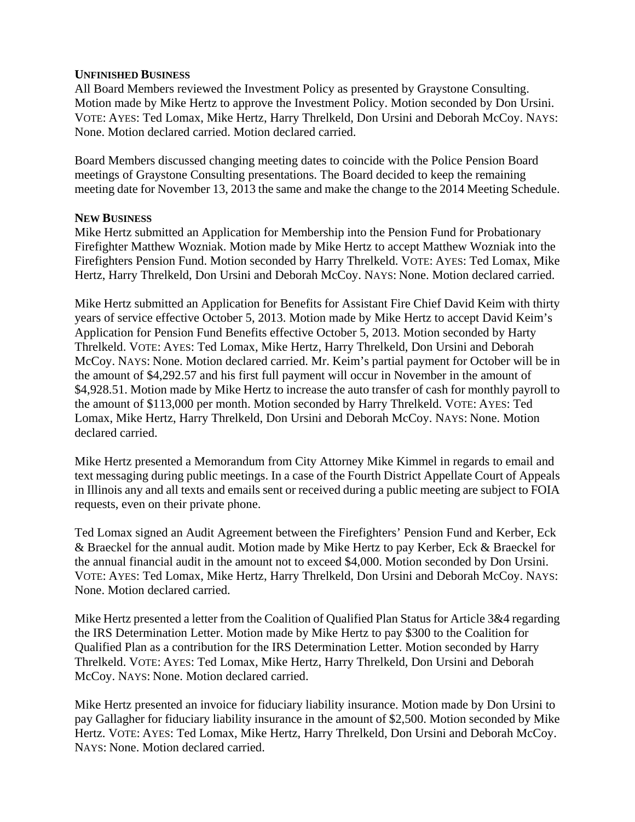## **UNFINISHED BUSINESS**

All Board Members reviewed the Investment Policy as presented by Graystone Consulting. Motion made by Mike Hertz to approve the Investment Policy. Motion seconded by Don Ursini. VOTE: AYES: Ted Lomax, Mike Hertz, Harry Threlkeld, Don Ursini and Deborah McCoy. NAYS: None. Motion declared carried. Motion declared carried.

Board Members discussed changing meeting dates to coincide with the Police Pension Board meetings of Graystone Consulting presentations. The Board decided to keep the remaining meeting date for November 13, 2013 the same and make the change to the 2014 Meeting Schedule.

## **NEW BUSINESS**

Mike Hertz submitted an Application for Membership into the Pension Fund for Probationary Firefighter Matthew Wozniak. Motion made by Mike Hertz to accept Matthew Wozniak into the Firefighters Pension Fund. Motion seconded by Harry Threlkeld. VOTE: AYES: Ted Lomax, Mike Hertz, Harry Threlkeld, Don Ursini and Deborah McCoy. NAYS: None. Motion declared carried.

Mike Hertz submitted an Application for Benefits for Assistant Fire Chief David Keim with thirty years of service effective October 5, 2013. Motion made by Mike Hertz to accept David Keim's Application for Pension Fund Benefits effective October 5, 2013. Motion seconded by Harty Threlkeld. VOTE: AYES: Ted Lomax, Mike Hertz, Harry Threlkeld, Don Ursini and Deborah McCoy. NAYS: None. Motion declared carried. Mr. Keim's partial payment for October will be in the amount of \$4,292.57 and his first full payment will occur in November in the amount of \$4,928.51. Motion made by Mike Hertz to increase the auto transfer of cash for monthly payroll to the amount of \$113,000 per month. Motion seconded by Harry Threlkeld. VOTE: AYES: Ted Lomax, Mike Hertz, Harry Threlkeld, Don Ursini and Deborah McCoy. NAYS: None. Motion declared carried.

Mike Hertz presented a Memorandum from City Attorney Mike Kimmel in regards to email and text messaging during public meetings. In a case of the Fourth District Appellate Court of Appeals in Illinois any and all texts and emails sent or received during a public meeting are subject to FOIA requests, even on their private phone.

Ted Lomax signed an Audit Agreement between the Firefighters' Pension Fund and Kerber, Eck & Braeckel for the annual audit. Motion made by Mike Hertz to pay Kerber, Eck & Braeckel for the annual financial audit in the amount not to exceed \$4,000. Motion seconded by Don Ursini. VOTE: AYES: Ted Lomax, Mike Hertz, Harry Threlkeld, Don Ursini and Deborah McCoy. NAYS: None. Motion declared carried.

Mike Hertz presented a letter from the Coalition of Qualified Plan Status for Article 3&4 regarding the IRS Determination Letter. Motion made by Mike Hertz to pay \$300 to the Coalition for Qualified Plan as a contribution for the IRS Determination Letter. Motion seconded by Harry Threlkeld. VOTE: AYES: Ted Lomax, Mike Hertz, Harry Threlkeld, Don Ursini and Deborah McCoy. NAYS: None. Motion declared carried.

Mike Hertz presented an invoice for fiduciary liability insurance. Motion made by Don Ursini to pay Gallagher for fiduciary liability insurance in the amount of \$2,500. Motion seconded by Mike Hertz. VOTE: AYES: Ted Lomax, Mike Hertz, Harry Threlkeld, Don Ursini and Deborah McCoy. NAYS: None. Motion declared carried.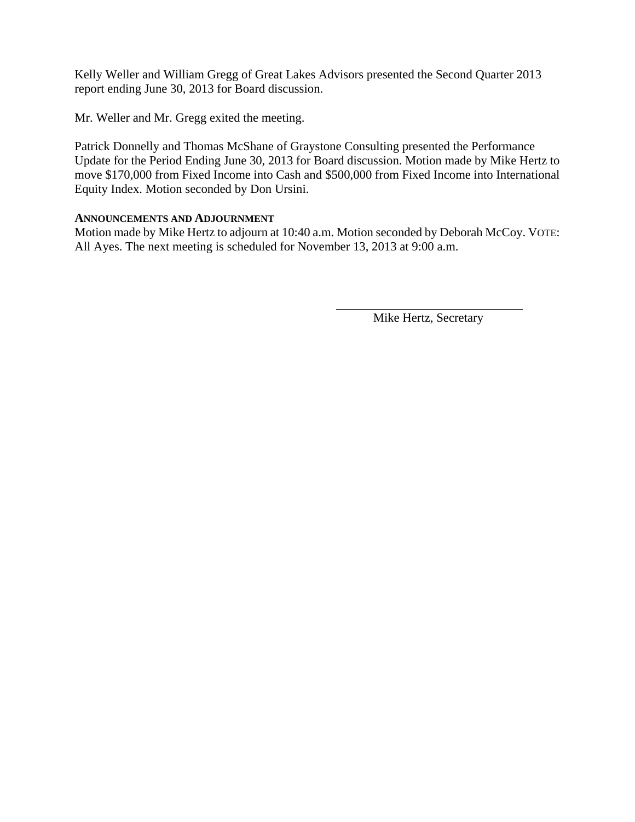Kelly Weller and William Gregg of Great Lakes Advisors presented the Second Quarter 2013 report ending June 30, 2013 for Board discussion.

Mr. Weller and Mr. Gregg exited the meeting.

Patrick Donnelly and Thomas McShane of Graystone Consulting presented the Performance Update for the Period Ending June 30, 2013 for Board discussion. Motion made by Mike Hertz to move \$170,000 from Fixed Income into Cash and \$500,000 from Fixed Income into International Equity Index. Motion seconded by Don Ursini.

## **ANNOUNCEMENTS AND ADJOURNMENT**

Motion made by Mike Hertz to adjourn at 10:40 a.m. Motion seconded by Deborah McCoy. VOTE: All Ayes. The next meeting is scheduled for November 13, 2013 at 9:00 a.m.

Mike Hertz, Secretary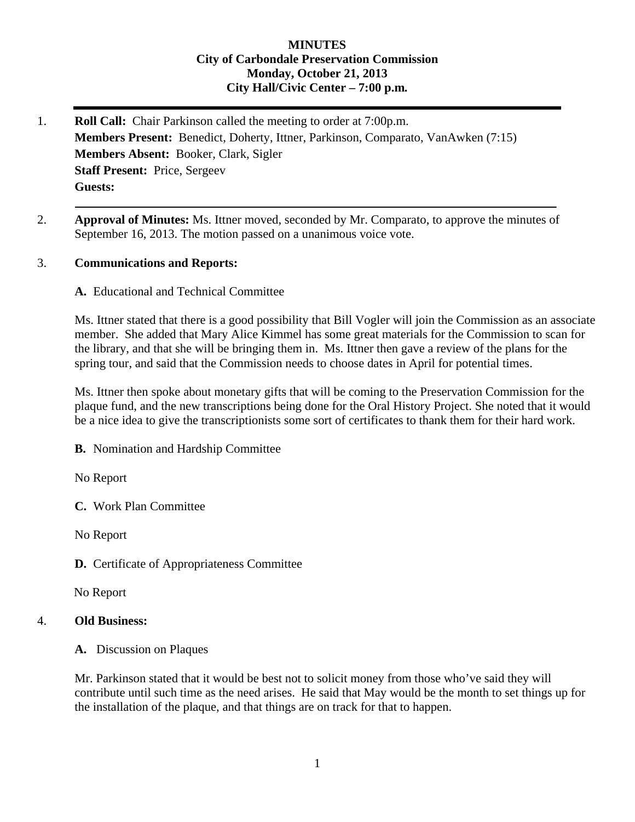## **MINUTES City of Carbondale Preservation Commission Monday, October 21, 2013 City Hall/Civic Center – 7:00 p.m***.*

- 1. **Roll Call:** Chair Parkinson called the meeting to order at 7:00p.m. **Members Present:** Benedict, Doherty, Ittner, Parkinson, Comparato, VanAwken (7:15) **Members Absent:** Booker, Clark, Sigler **Staff Present:** Price, Sergeev **Guests:**
- 2. **Approval of Minutes:** Ms. Ittner moved, seconded by Mr. Comparato, to approve the minutes of September 16, 2013. The motion passed on a unanimous voice vote.

### 3. **Communications and Reports:**

**A.** Educational and Technical Committee

Ms. Ittner stated that there is a good possibility that Bill Vogler will join the Commission as an associate member. She added that Mary Alice Kimmel has some great materials for the Commission to scan for the library, and that she will be bringing them in. Ms. Ittner then gave a review of the plans for the spring tour, and said that the Commission needs to choose dates in April for potential times.

Ms. Ittner then spoke about monetary gifts that will be coming to the Preservation Commission for the plaque fund, and the new transcriptions being done for the Oral History Project. She noted that it would be a nice idea to give the transcriptionists some sort of certificates to thank them for their hard work.

**B.** Nomination and Hardship Committee

No Report

**C.** Work Plan Committee

No Report

**D.** Certificate of Appropriateness Committee

No Report

### 4. **Old Business:**

**A.** Discussion on Plaques

Mr. Parkinson stated that it would be best not to solicit money from those who've said they will contribute until such time as the need arises. He said that May would be the month to set things up for the installation of the plaque, and that things are on track for that to happen.